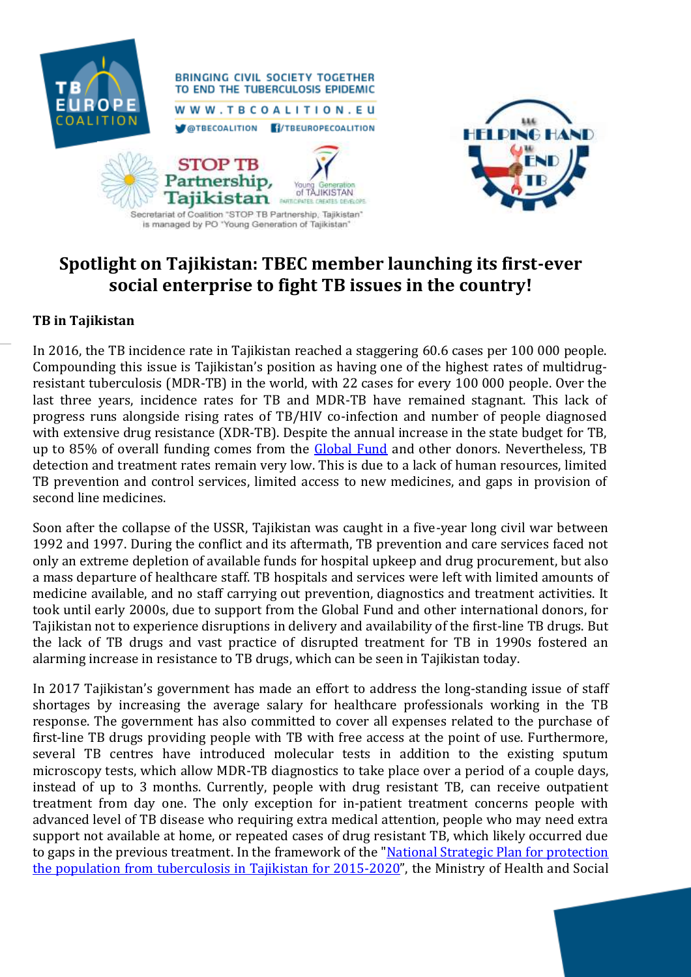

**BRINGING CIVIL SOCIETY TOGETHER** TO END THE TUBERCULOSIS EPIDEMIC WWW.TBCOALITION.EU **OTBECOALITION FI/TBEUROPECOALITION** 





## **Spotlight on Tajikistan: TBEC member launching its first-ever social enterprise to fight TB issues in the country!**

## **TB in Tajikistan**

In 2016, the TB incidence rate in Tajikistan reached a staggering 60.6 cases per 100 000 people. Compounding this issue is Tajikistan's position as having one of the highest rates of multidrugresistant tuberculosis (MDR-TB) in the world, with 22 cases for every 100 000 people. Over the last three years, incidence rates for TB and MDR-TB have remained stagnant. This lack of progress runs alongside rising rates of TB/HIV co-infection and number of people diagnosed with extensive drug resistance (XDR-TB). Despite the annual increase in the state budget for TB, up to 85% of overall funding comes from the [Global Fund](https://www.theglobalfund.org/en/) and other donors. Nevertheless, TB detection and treatment rates remain very low. This is due to a lack of human resources, limited TB prevention and control services, limited access to new medicines, and gaps in provision of second line medicines.

Soon after the collapse of the USSR, Tajikistan was caught in a five-year long civil war between 1992 and 1997. During the conflict and its aftermath, TB prevention and care services faced not only an extreme depletion of available funds for hospital upkeep and drug procurement, but also a mass departure of healthcare staff. TB hospitals and services were left with limited amounts of medicine available, and no staff carrying out prevention, diagnostics and treatment activities. It took until early 2000s, due to support from the Global Fund and other international donors, for Tajikistan not to experience disruptions in delivery and availability of the first-line TB drugs. But the lack of TB drugs and vast practice of disrupted treatment for TB in 1990s fostered an alarming increase in resistance to TB drugs, which can be seen in Tajikistan today.

In 2017 Tajikistan's government has made an effort to address the long-standing issue of staff shortages by increasing the average salary for healthcare professionals working in the TB response. The government has also committed to cover all expenses related to the purchase of first-line TB drugs providing people with TB with free access at the point of use. Furthermore, several TB centres have introduced molecular tests in addition to the existing sputum microscopy tests, which allow MDR-TB diagnostics to take place over a period of a couple days, instead of up to 3 months. Currently, people with drug resistant TB, can receive outpatient treatment from day one. The only exception for in-patient treatment concerns people with advanced level of TB disease who requiring extra medical attention, people who may need extra support not available at home, or repeated cases of drug resistant TB, which likely occurred due to gaps in the previous treatment. In the framework of the "National Strategic Plan for protection [the population from tuberculosis in Tajikistan for 2015-2020](file:///C:/Users/anetecook/Downloads/National%20Strategic%20Plan%20for%20Tuberculosis%20(2016-2020).pdf)", the Ministry of Health and Social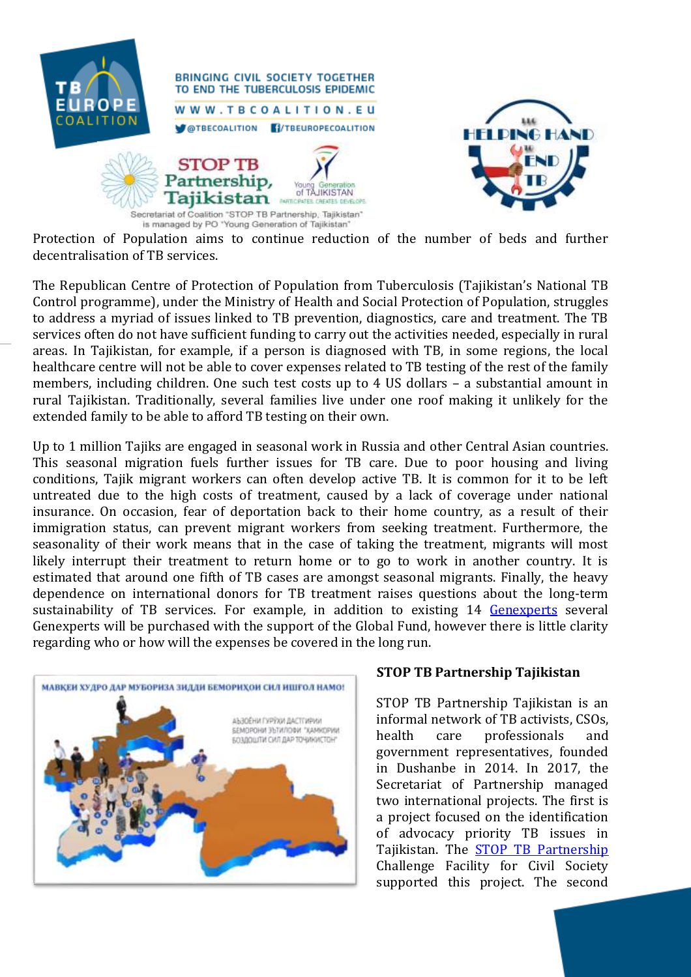



Protection of Population aims to continue reduction of the number of beds and further decentralisation of TB services.

The Republican Centre of Protection of Population from Tuberculosis (Tajikistan's National TB Control programme), under the Ministry of Health and Social Protection of Population, struggles to address a myriad of issues linked to TB prevention, diagnostics, care and treatment. The TB services often do not have sufficient funding to carry out the activities needed, especially in rural areas. In Tajikistan, for example, if a person is diagnosed with TB, in some regions, the local healthcare centre will not be able to cover expenses related to TB testing of the rest of the family members, including children. One such test costs up to 4 US dollars – a substantial amount in rural Tajikistan. Traditionally, several families live under one roof making it unlikely for the extended family to be able to afford TB testing on their own.

Up to 1 million Tajiks are engaged in seasonal work in Russia and other Central Asian countries. This seasonal migration fuels further issues for TB care. Due to poor housing and living conditions, Tajik migrant workers can often develop active TB. It is common for it to be left untreated due to the high costs of treatment, caused by a lack of coverage under national insurance. On occasion, fear of deportation back to their home country, as a result of their immigration status, can prevent migrant workers from seeking treatment. Furthermore, the seasonality of their work means that in the case of taking the treatment, migrants will most likely interrupt their treatment to return home or to go to work in another country. It is estimated that around one fifth of TB cases are amongst seasonal migrants. Finally, the heavy dependence on international donors for TB treatment raises questions about the long-term sustainability of TB services. For example, in addition to existing 14 [Genexperts](https://www.tbfacts.org/xpert-tb-test/) several Genexperts will be purchased with the support of the Global Fund, however there is little clarity regarding who or how will the expenses be covered in the long run.



## **STOP TB Partnership Tajikistan**

STOP TB Partnership Tajikistan is an informal network of TB activists, CSOs, health care professionals and government representatives, founded in Dushanbe in 2014. In 2017, the Secretariat of Partnership managed two international projects. The first is a project focused on the identification of advocacy priority TB issues in Tajikistan. The [STOP TB Partnership](http://www.stoptb.org/) Challenge Facility for Civil Society supported this project. The second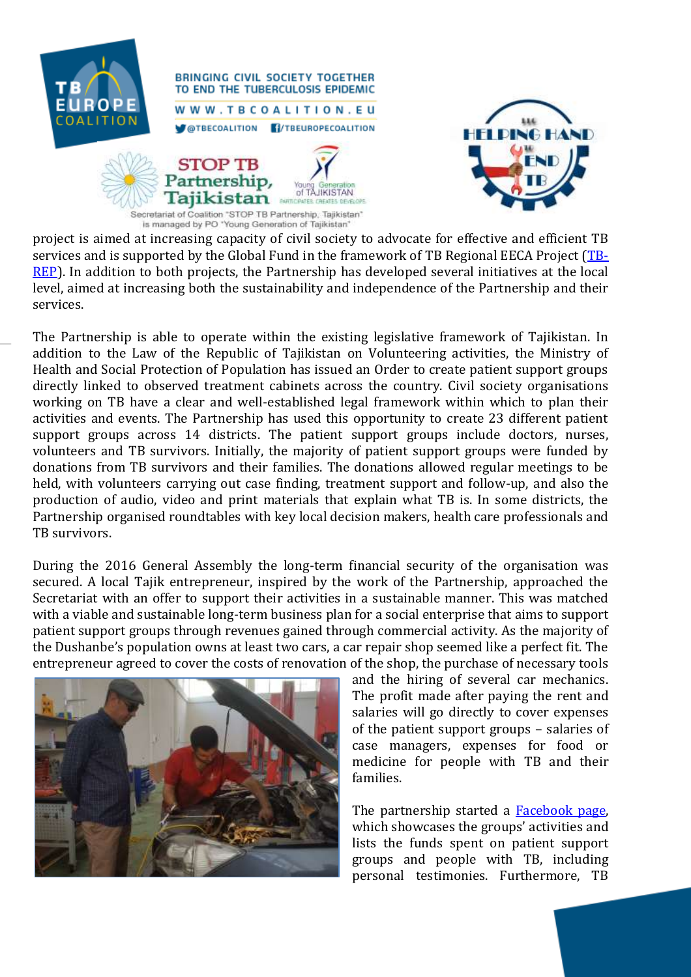

**BRINGING CIVIL SOCIETY TOGETHER** TO END THE TUBERCULOSIS EPIDEMIC WWW.TBCOALITION.EU **MOTBECOALITION FI/TBEUROPECOALITION** 





project is aimed at increasing capacity of civil society to advocate for effective and efficient TB services and is supported by the Global Fund in the framework of TB Regional EECA Project [\(TB-](https://twitter.com/tbrep?lang=en)[REP\)](https://twitter.com/tbrep?lang=en). In addition to both projects, the Partnership has developed several initiatives at the local level, aimed at increasing both the sustainability and independence of the Partnership and their services.

The Partnership is able to operate within the existing legislative framework of Tajikistan. In addition to the Law of the Republic of Tajikistan on Volunteering activities, the Ministry of Health and Social Protection of Population has issued an Order to create patient support groups directly linked to observed treatment cabinets across the country. Civil society organisations working on TB have a clear and well-established legal framework within which to plan their activities and events. The Partnership has used this opportunity to create 23 different patient support groups across 14 districts. The patient support groups include doctors, nurses, volunteers and TB survivors. Initially, the majority of patient support groups were funded by donations from TB survivors and their families. The donations allowed regular meetings to be held, with volunteers carrying out case finding, treatment support and follow-up, and also the production of audio, video and print materials that explain what TB is. In some districts, the Partnership organised roundtables with key local decision makers, health care professionals and TB survivors.

During the 2016 General Assembly the long-term financial security of the organisation was secured. A local Tajik entrepreneur, inspired by the work of the Partnership, approached the Secretariat with an offer to support their activities in a sustainable manner. This was matched with a viable and sustainable long-term business plan for a social enterprise that aims to support patient support groups through revenues gained through commercial activity. As the majority of the Dushanbe's population owns at least two cars, a car repair shop seemed like a perfect fit. The entrepreneur agreed to cover the costs of renovation of the shop, the purchase of necessary tools



and the hiring of several car mechanics. The profit made after paying the rent and salaries will go directly to cover expenses of the patient support groups – salaries of case managers, expenses for food or medicine for people with TB and their families.

The partnership started a [Facebook page,](https://www.facebook.com/%D0%94%D0%B0%D1%81%D1%82%D0%B8-%D0%9C%D0%B0%D0%B4%D0%B0%D0%B4-%D0%91%D0%B0%D1%80%D0%BE%D0%B8-%D0%91%D0%BE%D0%B7%D0%B4%D0%BE%D1%88%D1%82%D0%B8-%D0%A1%D0%B8%D0%BB-1415372455179142/) which showcases the groups' activities and lists the funds spent on patient support groups and people with TB, including personal testimonies. Furthermore, TB